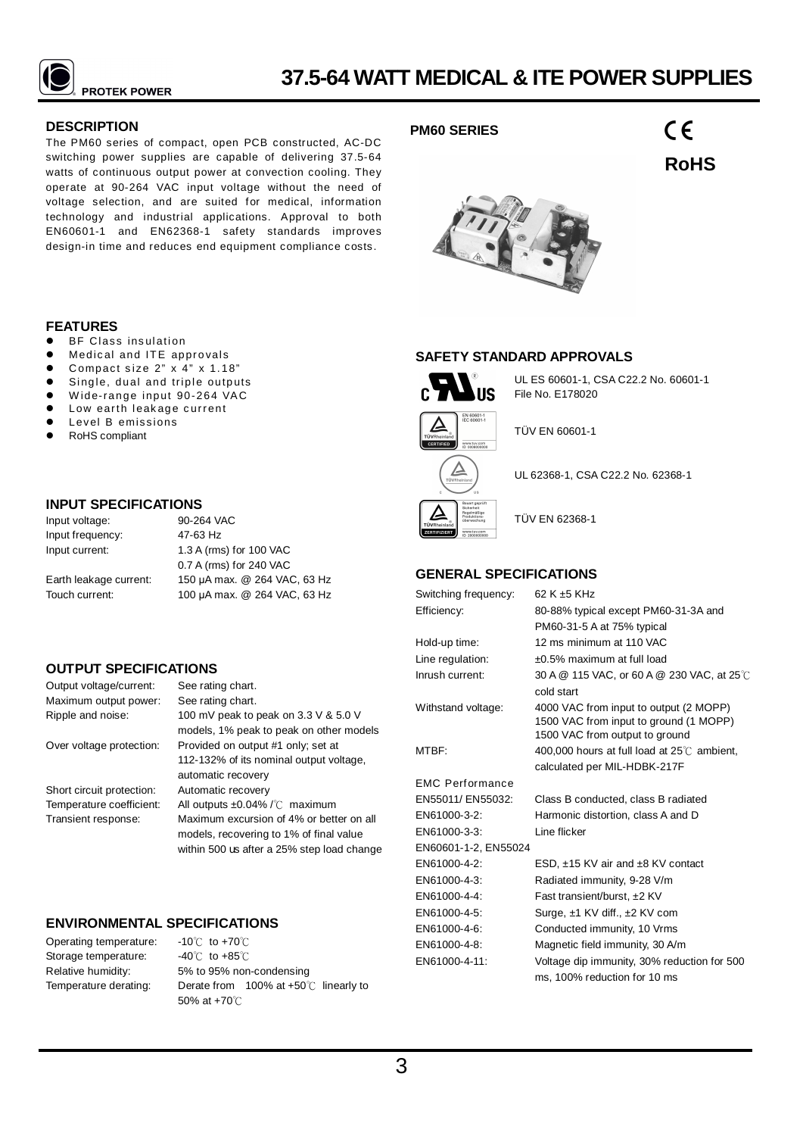

# **DESCRIPTION**

The PM60 series of compact, open PCB constructed, AC-DC switching power supplies are capable of delivering 37.5-64 watts of continuous output power at convection cooling. They operate at 90-264 VAC input voltage without the need of voltage selection, and are suited for medical, information technology and industrial applications. Approval to both EN60601-1 and EN62368-1 safety standards improves design-in time and reduces end equipment compliance costs.

## **FEATURES**

- BF Class insulation
- Medical and ITE approvals
- Compact size  $2$ "  $\times$  4"  $\times$  1.18"
- $\bullet$  Single, dual and triple outputs
- Wide-range input 90-264 VAC
- $\bullet$  Low earth leakage current  $\bullet$  Level B emissions
- RoHS compliant

# **INPUT SPECIFICATIONS**

| Input voltage:         | 90-264 VAC                   |  |  |  |  |
|------------------------|------------------------------|--|--|--|--|
| Input frequency:       | 47-63 Hz                     |  |  |  |  |
| Input current:         | 1.3 A (rms) for 100 VAC      |  |  |  |  |
|                        | 0.7 A (rms) for 240 VAC      |  |  |  |  |
| Earth leakage current: | 150 µA max. @ 264 VAC, 63 Hz |  |  |  |  |
| Touch current:         | 100 µA max. @ 264 VAC, 63 Hz |  |  |  |  |

# **OUTPUT SPECIFICATIONS**

| Output voltage/current:   | See rating chart.                            |
|---------------------------|----------------------------------------------|
| Maximum output power:     | See rating chart.                            |
| Ripple and noise:         | 100 mV peak to peak on 3.3 V & 5.0 V         |
|                           | models, 1% peak to peak on other models      |
| Over voltage protection:  | Provided on output #1 only; set at           |
|                           | 112-132% of its nominal output voltage,      |
|                           | automatic recovery                           |
| Short circuit protection: | Automatic recovery                           |
| Temperature coefficient:  | All outputs $\pm 0.04\%$ / $\degree$ maximum |
| Transient response:       | Maximum excursion of 4% or better on all     |
|                           | models, recovering to 1% of final value      |
|                           | within 500 us after a 25% step load change   |
|                           |                                              |

# **ENVIRONMENTAL SPECIFICATIONS**

Operating temperature: Storage temperature: Relative humidity: Temperature derating:

-10℃ to +70℃ -40℃ to +85℃ 5% to 95% non-condensing Derate from 100% at +50℃ linearly to 50% at +70℃

# **PM60 SERIES**

 $\epsilon$ **RoHS**



## **SAFETY STANDARD APPROVALS**



Δ

UL ES 60601-1, CSA C22.2 No. 60601-1 File No. E178020

TÜV EN 60601-1

UL 62368-1, CSA C22.2 No. 62368-1



TÜV EN 62368-1

# **GENERAL SPECIFICATIONS**

| Switching frequency:   | 62 K ±5 KHz                                                                                                        |
|------------------------|--------------------------------------------------------------------------------------------------------------------|
| Efficiency:            | 80-88% typical except PM60-31-3A and                                                                               |
|                        | PM60-31-5 A at 75% typical                                                                                         |
| Hold-up time:          | 12 ms minimum at 110 VAC                                                                                           |
| Line regulation:       | ±0.5% maximum at full load                                                                                         |
| Inrush current:        | 30 A @ 115 VAC, or 60 A @ 230 VAC, at 25 °C                                                                        |
|                        | cold start                                                                                                         |
| Withstand voltage:     | 4000 VAC from input to output (2 MOPP)<br>1500 VAC from input to ground (1 MOPP)<br>1500 VAC from output to ground |
| MTBF:                  | 400,000 hours at full load at $25^{\circ}$ ambient,                                                                |
|                        | calculated per MIL-HDBK-217F                                                                                       |
| <b>EMC Performance</b> |                                                                                                                    |
| EN55011/ EN55032:      | Class B conducted, class B radiated                                                                                |
| EN61000-3-2:           | Harmonic distortion, class A and D                                                                                 |
| EN61000-3-3:           | Line flicker                                                                                                       |
| EN60601-1-2, EN55024   |                                                                                                                    |
| EN61000-4-2:           | ESD, $\pm$ 15 KV air and $\pm$ 8 KV contact                                                                        |
| EN61000-4-3:           | Radiated immunity, 9-28 V/m                                                                                        |
| EN61000-4-4:           | Fast transient/burst, ±2 KV                                                                                        |
| EN61000-4-5:           | Surge, ±1 KV diff., ±2 KV com                                                                                      |
| EN61000-4-6:           | Conducted immunity, 10 Vrms                                                                                        |
| EN61000-4-8:           | Magnetic field immunity, 30 A/m                                                                                    |
| EN61000-4-11:          | Voltage dip immunity, 30% reduction for 500                                                                        |
|                        | ms. 100% reduction for 10 ms                                                                                       |